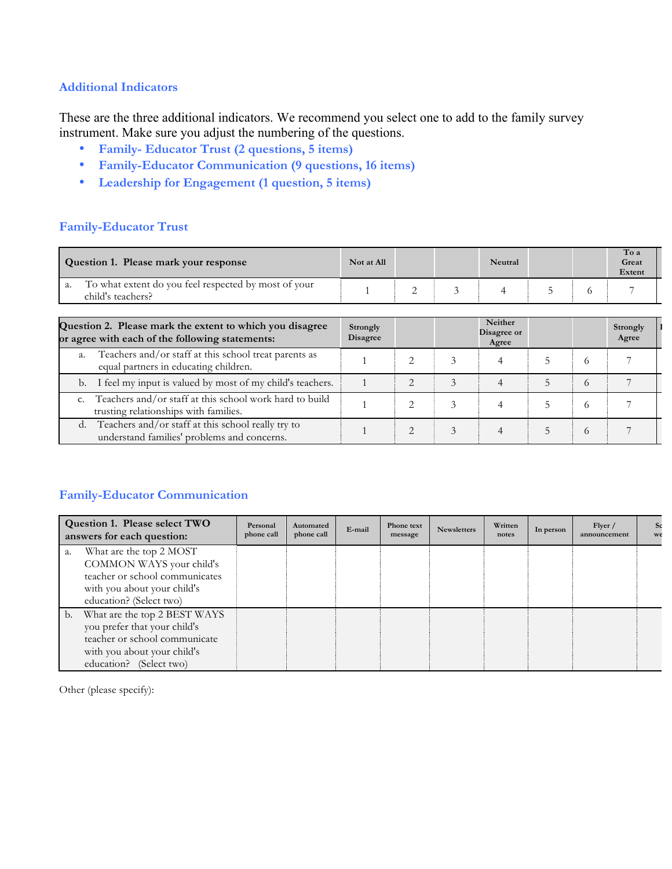### **Additional Indicators**

These are the three additional indicators. We recommend you select one to add to the family survey instrument. Make sure you adjust the numbering of the questions.

- **Family- Educator Trust (2 questions, 5 items)**
- **Family-Educator Communication (9 questions, 16 items)**
- **Leadership for Engagement (1 question, 5 items)**

## **Family-Educator Trust**

| Question 1. Please mark your response                                                                       | Not at All                  |                |   | Neutral              |   |            | To a<br>Great<br>Extent |  |  |  |
|-------------------------------------------------------------------------------------------------------------|-----------------------------|----------------|---|----------------------|---|------------|-------------------------|--|--|--|
| To what extent do you feel respected by most of your<br>a.<br>child's teachers?                             |                             | 2              | 3 | 4                    |   | $^{\circ}$ |                         |  |  |  |
| <b>Neither</b>                                                                                              |                             |                |   |                      |   |            |                         |  |  |  |
| Question 2. Please mark the extent to which you disagree<br>or agree with each of the following statements: | Strongly<br><b>Disagree</b> |                |   | Disagree or<br>Agree |   |            | Strongly<br>Agree       |  |  |  |
| Teachers and/or staff at this school treat parents as<br>a.<br>equal partners in educating children.        |                             | $\mathfrak{D}$ | 3 | 4                    | 5 | $\sqrt{2}$ |                         |  |  |  |
| I feel my input is valued by most of my child's teachers.<br>b.                                             |                             | $\mathfrak{D}$ | 3 | $\overline{4}$       | 5 | 6          |                         |  |  |  |
| Teachers and/or staff at this school work hard to build<br>trusting relationships with families.            |                             | $\mathfrak{D}$ | 3 | 4                    |   | $\Omega$   |                         |  |  |  |
| Teachers and/or staff at this school really try to<br>d.<br>understand families' problems and concerns.     |                             | $\mathfrak{D}$ | 3 | 4                    | 5 | $\Omega$   |                         |  |  |  |

# **Family-Educator Communication**

|                | Question 1. Please select TWO<br>answers for each question:                                                                                             | Personal<br>phone call | Automated<br>phone call | E-mail | Phone text<br>message | <b>Newsletters</b> | Written<br>notes | In person | Flyer /<br>announcement | We |
|----------------|---------------------------------------------------------------------------------------------------------------------------------------------------------|------------------------|-------------------------|--------|-----------------------|--------------------|------------------|-----------|-------------------------|----|
| a.             | What are the top 2 MOST<br>COMMON WAYS your child's<br>teacher or school communicates<br>with you about your child's<br>education? (Select two)         |                        |                         |        |                       |                    |                  |           |                         |    |
| $\mathbf{b}$ . | What are the top 2 BEST WAYS<br>you prefer that your child's<br>teacher or school communicate<br>with you about your child's<br>education? (Select two) |                        |                         |        |                       |                    |                  |           |                         |    |

Other (please specify):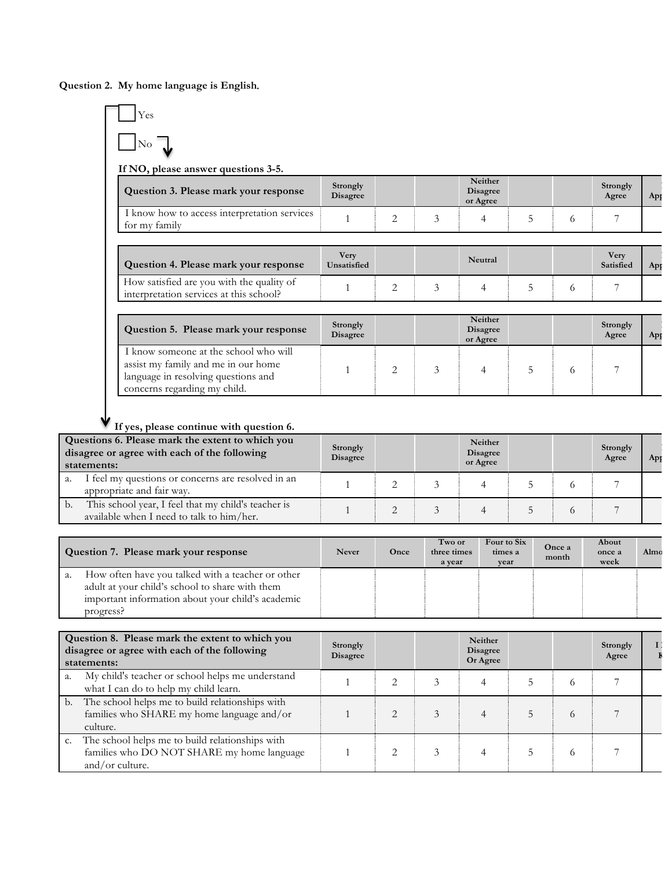**Question 2. My home language is English***.* 



#### **If yes, please continue with question 6.**

| Questions 6. Please mark the extent to which you<br>disagree or agree with each of the following<br>statements: | Strongly<br><b>Disagree</b> |  | Neither<br><b>Disagree</b><br>or Agree |  | Strongly<br>Agree | Ap |
|-----------------------------------------------------------------------------------------------------------------|-----------------------------|--|----------------------------------------|--|-------------------|----|
| I feel my questions or concerns are resolved in an<br>a.<br>appropriate and fair way.                           |                             |  |                                        |  |                   |    |
| This school year, I feel that my child's teacher is<br>b.<br>available when I need to talk to him/her.          |                             |  |                                        |  |                   |    |

| Question 7. Please mark your response                                                                                                                                        | <b>Never</b> | Once | Two or<br>three times<br>a year | Four to Six<br>times a<br>vear | Once a<br>month | About<br>once a<br>week | Almo |
|------------------------------------------------------------------------------------------------------------------------------------------------------------------------------|--------------|------|---------------------------------|--------------------------------|-----------------|-------------------------|------|
| How often have you talked with a teacher or other<br>a.<br>adult at your child's school to share with them<br>important information about your child's academic<br>progress? |              |      |                                 |                                |                 |                         |      |

|    | Question 8. Please mark the extent to which you<br>disagree or agree with each of the following<br>statements:   | Strongly<br><b>Disagree</b> |                | Neither<br><b>Disagree</b><br>Or Agree |          | Strongly<br>Agree |  |
|----|------------------------------------------------------------------------------------------------------------------|-----------------------------|----------------|----------------------------------------|----------|-------------------|--|
| a. | My child's teacher or school helps me understand<br>what I can do to help my child learn.                        |                             |                |                                        |          |                   |  |
| b. | The school helps me to build relationships with<br>families who SHARE my home language and/or<br>culture.        |                             | $\mathfrak{D}$ | 4                                      | $\Omega$ |                   |  |
|    | The school helps me to build relationships with<br>families who DO NOT SHARE my home language<br>and/or culture. |                             | ⌒              | 4                                      | ∩        |                   |  |